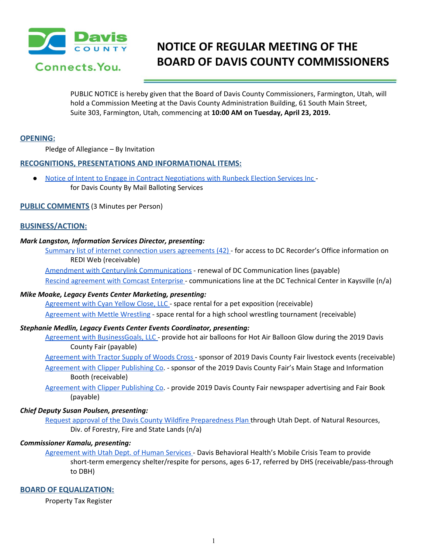

# **NOTICE OF REGULAR MEETING OF THE BOARD OF DAVIS COUNTY COMMISSIONERS**

PUBLIC NOTICE is hereby given that the Board of Davis County Commissioners, Farmington, Utah, will hold a Commission Meeting at the Davis County Administration Building, 61 South Main Street, Suite 303, Farmington, Utah, commencing at **10:00 AM on Tuesday, April 23, 2019.**

## **OPENING:**

Pledge of Allegiance – By Invitation

## **RECOGNITIONS, PRESENTATIONS AND INFORMATIONAL ITEMS:**

● Notice of Intent to Engage in Contract [Negotiations](https://drive.google.com/a/co.davis.ut.us/file/d/1pQa1D-pxSfwsNkj-rSg7Bqwnrhz9IkMM/view?usp=drivesdk) with Runbeck Election Services Inc for Davis County By Mail Balloting Services

#### **PUBLIC COMMENTS** (3 Minutes per Person)

# **BUSINESS/ACTION:**

#### *Mark Langston, Information Services Director, presenting:*

Summary list of internet connection users [agreements](https://drive.google.com/a/co.davis.ut.us/file/d/1nycgtTR_gz6XOXH_PRVqvDlWlkU_o8ev/view?usp=drivesdk) (42) - for access to DC Recorder's Office information on REDI Web (receivable)

Amendment with Centurylink [Communications](https://drive.google.com/a/co.davis.ut.us/file/d/1TtyAeJDChDQ28C9HRmU47bV_npHYF7Nv/view?usp=drivesdk) - renewal of DC Communication lines (payable) Rescind [agreement](https://drive.google.com/a/co.davis.ut.us/file/d/1Z73gui5yrUgmcS06E4qaN1aM5ApSR7RX/view?usp=drivesdk) with Comcast Enterprise - communications line at the DC Technical Center in Kaysville (n/a)

#### *Mike Moake, Legacy Events Center Marketing, presenting:*

[Agreement](https://drive.google.com/a/co.davis.ut.us/file/d/1MwtFx-Hegy6ugOlFSQmHoaJ0Rk_A7p6G/view?usp=drivesdk) with Cyan Yellow Close, LLC - space rental for a pet exposition (receivable) [Agreement](https://drive.google.com/a/co.davis.ut.us/file/d/123Xwf2yBLH8ppMhwt5mQX-FreO01pMJp/view?usp=drivesdk) with Mettle Wrestling - space rental for a high school wrestling tournament (receivable)

#### *Stephanie Medlin, Legacy Events Center Events Coordinator, presenting:*

- Agreement with [BusinessGoals,](https://drive.google.com/a/co.davis.ut.us/file/d/1KNj_ndJY8V90tepRhtgxLV19a3pbbQjm/view?usp=drivesdk) LLC provide hot air balloons for Hot Air Balloon Glow during the 2019 Davis County Fair (payable)
- [Agreement](https://drive.google.com/a/co.davis.ut.us/file/d/1EH7ciAifXjqaF_6PvpDXxk4otfv57_pk/view?usp=drivesdk) with Tractor Supply of Woods Cross sponsor of 2019 Davis County Fair livestock events (receivable) [Agreement](https://drive.google.com/a/co.davis.ut.us/file/d/1t5kLRgq1n83R5zhHs8bPfL2IWYHzSW56/view?usp=drivesdk) with Clipper Publishing Co. - sponsor of the 2019 Davis County Fair's Main Stage and Information Booth (receivable)
- [Agreement](https://drive.google.com/a/co.davis.ut.us/file/d/1W4U3HBWuN5A0f2K0eq9wPr7VjcXPKpVA/view?usp=drivesdk) with Clipper Publishing Co. provide 2019 Davis County Fair newspaper advertising and Fair Book (payable)

# *Chief Deputy Susan Poulsen, presenting:*

Request approval of the Davis County Wildfire [Preparedness](https://drive.google.com/a/co.davis.ut.us/file/d/1nSYH3chHrBWqk0n4_MMT3OzlGqVJWOsq/view?usp=drivesdk) Plan through Utah Dept. of Natural Resources, Div. of Forestry, Fire and State Lands (n/a)

# *Commissioner Kamalu, presenting:*

[Agreement](https://drive.google.com/a/co.davis.ut.us/file/d/1lBDcN0t0dXD9BwQbmDr8edY-2UwYdHy4/view?usp=drivesdk) with Utah Dept. of Human Services - Davis Behavioral Health's Mobile Crisis Team to provide short-term emergency shelter/respite for persons, ages 6-17, referred by DHS (receivable/pass-through to DBH)

#### **BOARD OF EQUALIZATION:**

Property Tax Register